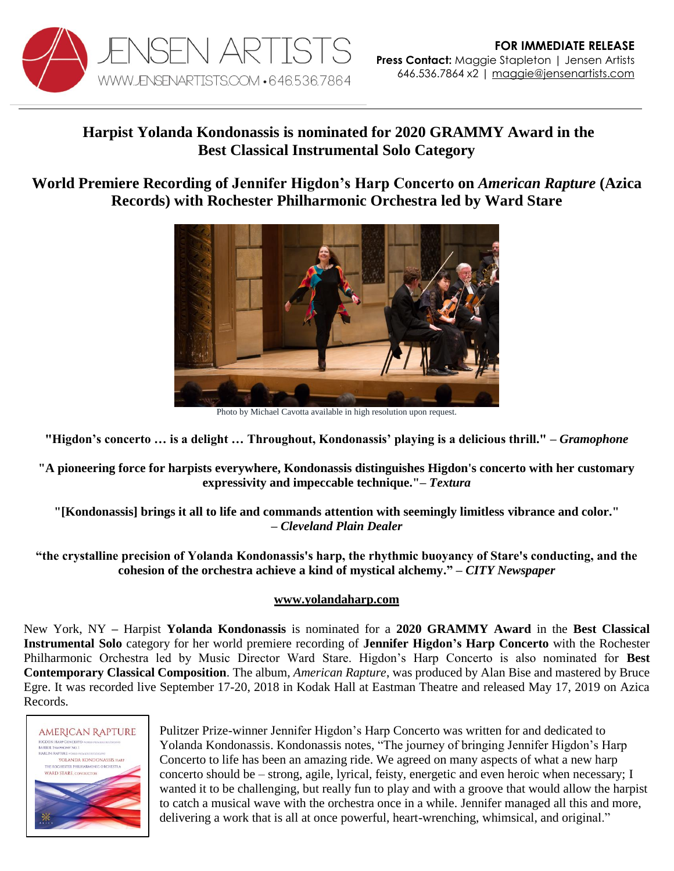

## **Harpist Yolanda Kondonassis is nominated for 2020 GRAMMY Award in the Best Classical Instrumental Solo Category**

**World Premiere Recording of Jennifer Higdon's Harp Concerto on** *American Rapture* **(Azica Records) with Rochester Philharmonic Orchestra led by Ward Stare**



Photo by Michael Cavotta available in high resolution upon request.

**"Higdon's concerto … is a delight … Throughout, Kondonassis' playing is a delicious thrill." –** *Gramophone*

**"A pioneering force for harpists everywhere, Kondonassis distinguishes Higdon's concerto with her customary expressivity and impeccable technique."–** *Textura*

**"[Kondonassis] brings it all to life and commands attention with seemingly limitless vibrance and color." –** *Cleveland Plain Dealer*

**"the crystalline precision of Yolanda Kondonassis's harp, the rhythmic buoyancy of Stare's conducting, and the cohesion of the orchestra achieve a kind of mystical alchemy." –** *CITY Newspaper*

## **[www.yolandaharp.com](http://www.yolandaharp.com/)**

New York, NY **–** Harpist **Yolanda Kondonassis** is nominated for a **2020 GRAMMY Award** in the **Best Classical Instrumental Solo** category for her world premiere recording of **Jennifer Higdon's Harp Concerto** with the Rochester Philharmonic Orchestra led by Music Director Ward Stare. Higdon's Harp Concerto is also nominated for **Best Contemporary Classical Composition**. The album, *American Rapture*, was produced by Alan Bise and mastered by Bruce Egre. It was recorded live September 17-20, 2018 in Kodak Hall at Eastman Theatre and released May 17, 2019 on Azica Records.



Pulitzer Prize-winner Jennifer Higdon's Harp Concerto was written for and dedicated to Yolanda Kondonassis. Kondonassis notes, "The journey of bringing Jennifer Higdon's Harp Concerto to life has been an amazing ride. We agreed on many aspects of what a new harp concerto should be – strong, agile, lyrical, feisty, energetic and even heroic when necessary; I wanted it to be challenging, but really fun to play and with a groove that would allow the harpist to catch a musical wave with the orchestra once in a while. Jennifer managed all this and more, delivering a work that is all at once powerful, heart-wrenching, whimsical, and original."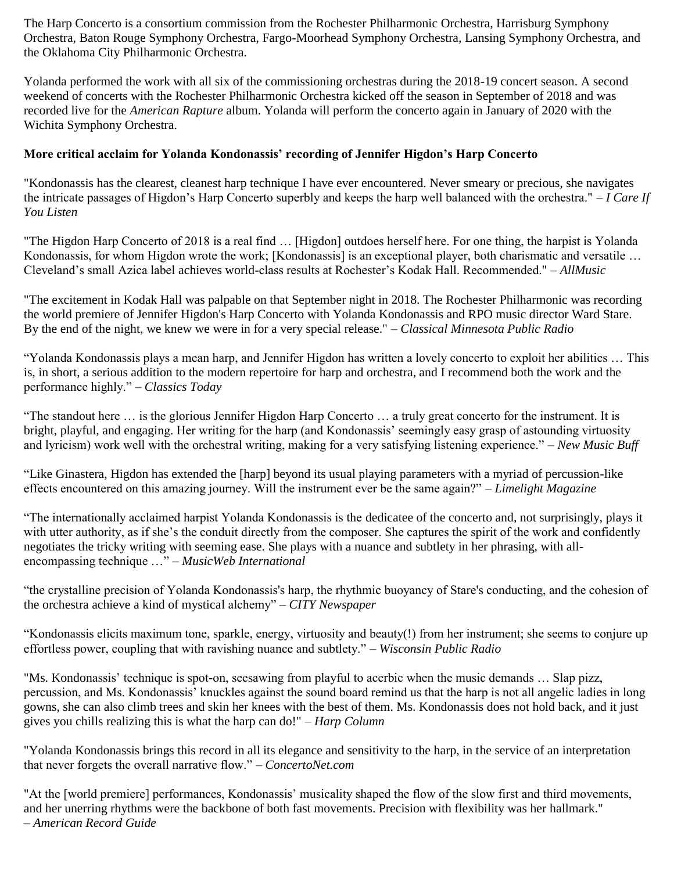The Harp Concerto is a consortium commission from the Rochester Philharmonic Orchestra, Harrisburg Symphony Orchestra, Baton Rouge Symphony Orchestra, Fargo-Moorhead Symphony Orchestra, Lansing Symphony Orchestra, and the Oklahoma City Philharmonic Orchestra.

Yolanda performed the work with all six of the commissioning orchestras during the 2018-19 concert season. A second weekend of concerts with the Rochester Philharmonic Orchestra kicked off the season in September of 2018 and was recorded live for the *American Rapture* album. Yolanda will perform the concerto again in January of 2020 with the Wichita Symphony Orchestra.

## **More critical acclaim for Yolanda Kondonassis' recording of Jennifer Higdon's Harp Concerto**

"Kondonassis has the clearest, cleanest harp technique I have ever encountered. Never smeary or precious, she navigates the intricate passages of Higdon's Harp Concerto superbly and keeps the harp well balanced with the orchestra." – *I Care If You Listen*

"The Higdon Harp Concerto of 2018 is a real find … [Higdon] outdoes herself here. For one thing, the harpist is Yolanda Kondonassis, for whom Higdon wrote the work; [Kondonassis] is an exceptional player, both charismatic and versatile ... Cleveland's small Azica label achieves world-class results at Rochester's Kodak Hall. Recommended." – *AllMusic*

"The excitement in Kodak Hall was palpable on that September night in 2018. The Rochester Philharmonic was recording the world premiere of Jennifer Higdon's Harp Concerto with Yolanda Kondonassis and RPO music director Ward Stare. By the end of the night, we knew we were in for a very special release." – *Classical Minnesota Public Radio*

"Yolanda Kondonassis plays a mean harp, and Jennifer Higdon has written a lovely concerto to exploit her abilities … This is, in short, a serious addition to the modern repertoire for harp and orchestra, and I recommend both the work and the performance highly." – *Classics Today*

"The standout here … is the glorious Jennifer Higdon Harp Concerto … a truly great concerto for the instrument. It is bright, playful, and engaging. Her writing for the harp (and Kondonassis' seemingly easy grasp of astounding virtuosity and lyricism) work well with the orchestral writing, making for a very satisfying listening experience." – *New Music Buff*

"Like Ginastera, Higdon has extended the [harp] beyond its usual playing parameters with a myriad of percussion-like effects encountered on this amazing journey. Will the instrument ever be the same again?" – *Limelight Magazine*

"The internationally acclaimed harpist Yolanda Kondonassis is the dedicatee of the concerto and, not surprisingly, plays it with utter authority, as if she's the conduit directly from the composer. She captures the spirit of the work and confidently negotiates the tricky writing with seeming ease. She plays with a nuance and subtlety in her phrasing, with allencompassing technique …" – *MusicWeb International*

"the crystalline precision of Yolanda Kondonassis's harp, the rhythmic buoyancy of Stare's conducting, and the cohesion of the orchestra achieve a kind of mystical alchemy" – *CITY Newspaper*

"Kondonassis elicits maximum tone, sparkle, energy, virtuosity and beauty(!) from her instrument; she seems to conjure up effortless power, coupling that with ravishing nuance and subtlety." – *Wisconsin Public Radio*

"Ms. Kondonassis' technique is spot-on, seesawing from playful to acerbic when the music demands … Slap pizz, percussion, and Ms. Kondonassis' knuckles against the sound board remind us that the harp is not all angelic ladies in long gowns, she can also climb trees and skin her knees with the best of them. Ms. Kondonassis does not hold back, and it just gives you chills realizing this is what the harp can do!" – *Harp Column*

"Yolanda Kondonassis brings this record in all its elegance and sensitivity to the harp, in the service of an interpretation that never forgets the overall narrative flow." – *ConcertoNet.com*

"At the [world premiere] performances, Kondonassis' musicality shaped the flow of the slow first and third movements, and her unerring rhythms were the backbone of both fast movements. Precision with flexibility was her hallmark." – *American Record Guide*